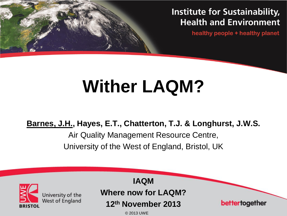### **Institute for Sustainability, Health and Environment**

healthy people + healthy planet

# **Wither LAQM?**

**Barnes, J.H., Hayes, E.T., Chatterton, T.J. & Longhurst, J.W.S.**

Air Quality Management Resource Centre, University of the West of England, Bristol, UK

|                                                        | <b>IAQM</b>                |                |
|--------------------------------------------------------|----------------------------|----------------|
| University of the<br>West of England<br><b>BRISTOL</b> | <b>Where now for LAQM?</b> |                |
|                                                        | 12th November 2013         | bettertogether |
|                                                        | © 2013 UWE                 |                |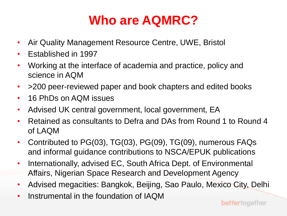### **Who are AQMRC?**

- Air Quality Management Resource Centre, UWE, Bristol
- Established in 1997
- Working at the interface of academia and practice, policy and science in AQM
- > 200 peer-reviewed paper and book chapters and edited books
- 16 PhDs on AQM issues
- Advised UK central government, local government, EA
- Retained as consultants to Defra and DAs from Round 1 to Round 4 of LAQM
- Contributed to PG(03), TG(03), PG(09), TG(09), numerous FAQs and informal guidance contributions to NSCA/EPUK publications
- Internationally, advised EC, South Africa Dept. of Environmental Affairs, Nigerian Space Research and Development Agency
- Advised megacities: Bangkok, Beijing, Sao Paulo, Mexico City, Delhi
- Instrumental in the foundation of IAQM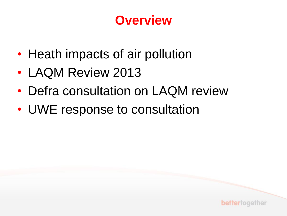### **Overview**

- Heath impacts of air pollution
- LAQM Review 2013
- Defra consultation on LAQM review
- UWE response to consultation

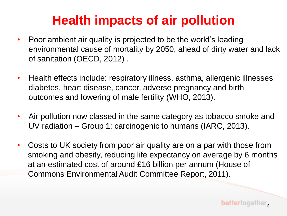### **Health impacts of air pollution**

- Poor ambient air quality is projected to be the world's leading environmental cause of mortality by 2050, ahead of dirty water and lack of sanitation (OECD, 2012) .
- Health effects include: respiratory illness, asthma, allergenic illnesses, diabetes, heart disease, cancer, adverse pregnancy and birth outcomes and lowering of male fertility (WHO, 2013).
- Air pollution now classed in the same category as tobacco smoke and UV radiation – Group 1: carcinogenic to humans (IARC, 2013).
- Costs to UK society from poor air quality are on a par with those from smoking and obesity, reducing life expectancy on average by 6 months at an estimated cost of around £16 billion per annum (House of Commons Environmental Audit Committee Report, 2011).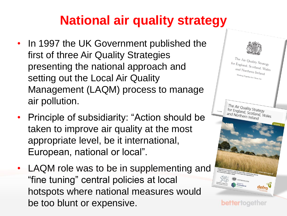### **National air quality strategy**

- In 1997 the UK Government published the first of three Air Quality Strategies presenting the national approach and setting out the Local Air Quality Management (LAQM) process to manage air pollution.
- Principle of subsidiarity: "Action should be taken to improve air quality at the most appropriate level, be it international, European, national or local".
- LAQM role was to be in supplementing and "fine tuning" central policies at local hotspots where national measures would be too blunt or expensive.



bettertogether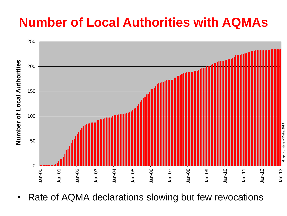### **Number of Local Authorities with AQMAs**



Rate of AQMA declarations slowing but few revocations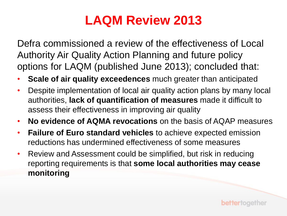### **LAQM Review 2013**

Defra commissioned a review of the effectiveness of Local Authority Air Quality Action Planning and future policy options for LAQM (published June 2013); concluded that:

- **Scale of air quality exceedences** much greater than anticipated
- Despite implementation of local air quality action plans by many local authorities, **lack of quantification of measures** made it difficult to assess their effectiveness in improving air quality
- **No evidence of AQMA revocations** on the basis of AQAP measures
- **Failure of Euro standard vehicles** to achieve expected emission reductions has undermined effectiveness of some measures
- Review and Assessment could be simplified, but risk in reducing reporting requirements is that **some local authorities may cease monitoring**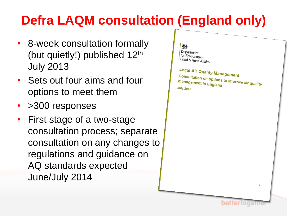### **Defra LAQM consultation (England only)**

- 8-week consultation formally (but quietly!) published  $12<sup>th</sup>$ July 2013
- Sets out four aims and four options to meet them
- >300 responses
- First stage of a two-stage consultation process; separate consultation on any changes to regulations and guidance on AQ standards expected June/July 2014

#### 怨 Department for Environment Food & Rural Affairs

Local Air Quality Management **Consultation on options to improve air quality<br>management in England** management in England **July 2013** 

**bettertoget**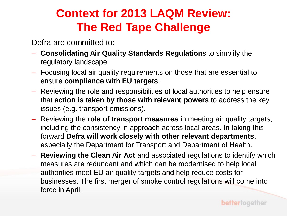### **Context for 2013 LAQM Review: The Red Tape Challenge**

Defra are committed to:

- **Consolidating Air Quality Standards Regulation**s to simplify the regulatory landscape.
- Focusing local air quality requirements on those that are essential to ensure **compliance with EU targets**.
- Reviewing the role and responsibilities of local authorities to help ensure that **action is taken by those with relevant powers** to address the key issues (e.g. transport emissions).
- Reviewing the **role of transport measures** in meeting air quality targets, including the consistency in approach across local areas. In taking this forward **Defra will work closely with other relevant departments**, especially the Department for Transport and Department of Health.
- **Reviewing the Clean Air Act** and associated regulations to identify which measures are redundant and which can be modernised to help local authorities meet EU air quality targets and help reduce costs for businesses. The first merger of smoke control regulations will come into force in April.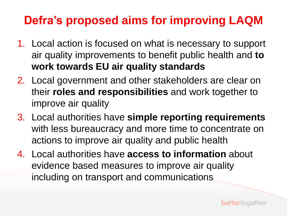### **Defra's proposed aims for improving LAQM**

- 1. Local action is focused on what is necessary to support air quality improvements to benefit public health and **to work towards EU air quality standards**
- 2. Local government and other stakeholders are clear on their **roles and responsibilities** and work together to improve air quality
- 3. Local authorities have **simple reporting requirements** with less bureaucracy and more time to concentrate on actions to improve air quality and public health
- 4. Local authorities have **access to information** about evidence based measures to improve air quality including on transport and communications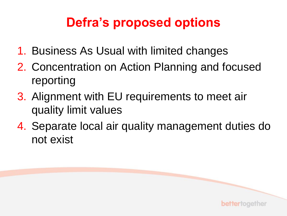### **Defra's proposed options**

- 1. Business As Usual with limited changes
- 2. Concentration on Action Planning and focused reporting
- 3. Alignment with EU requirements to meet air quality limit values
- 4. Separate local air quality management duties do not exist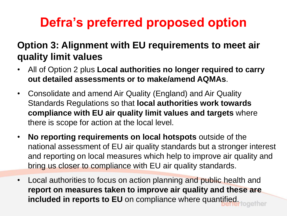### **Defra's preferred proposed option**

### **Option 3: Alignment with EU requirements to meet air quality limit values**

- All of Option 2 plus **Local authorities no longer required to carry out detailed assessments or to make/amend AQMAs**.
- Consolidate and amend Air Quality (England) and Air Quality Standards Regulations so that **local authorities work towards compliance with EU air quality limit values and targets** where there is scope for action at the local level.
- **No reporting requirements on local hotspots** outside of the national assessment of EU air quality standards but a stronger interest and reporting on local measures which help to improve air quality and bring us closer to compliance with EU air quality standards.
- Local authorities to focus on action planning and public health and **report on measures taken to improve air quality and these are included in reports to EU** on compliance where quantified.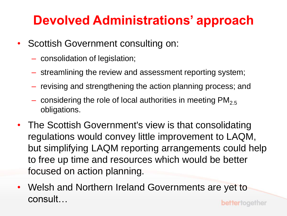### **Devolved Administrations' approach**

- Scottish Government consulting on:
	- consolidation of legislation;
	- streamlining the review and assessment reporting system;
	- revising and strengthening the action planning process; and
	- considering the role of local authorities in meeting  $PM_{2.5}$ obligations.
- The Scottish Government's view is that consolidating regulations would convey little improvement to LAQM, but simplifying LAQM reporting arrangements could help to free up time and resources which would be better focused on action planning.
- Welsh and Northern Ireland Governments are yet to consult…bettertogether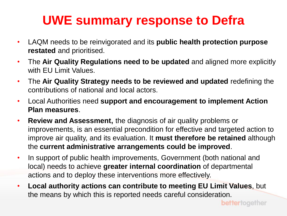### **UWE summary response to Defra**

- LAQM needs to be reinvigorated and its **public health protection purpose restated** and prioritised.
- The **Air Quality Regulations need to be updated** and aligned more explicitly with EU Limit Values.
- The **Air Quality Strategy needs to be reviewed and updated** redefining the contributions of national and local actors.
- Local Authorities need **support and encouragement to implement Action Plan measures**.
- **Review and Assessment,** the diagnosis of air quality problems or improvements, is an essential precondition for effective and targeted action to improve air quality, and its evaluation. It **must therefore be retained** although the **current administrative arrangements could be improved**.
- In support of public health improvements, Government (both national and local) needs to achieve **greater internal coordination** of departmental actions and to deploy these interventions more effectively.
- **Local authority actions can contribute to meeting EU Limit Values**, but the means by which this is reported needs careful consideration.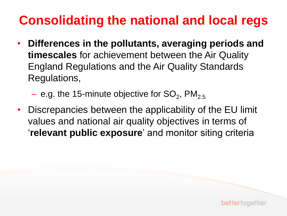### **Consolidating the national and local regs**

- **Differences in the pollutants, averaging periods and timescales** for achievement between the Air Quality England Regulations and the Air Quality Standards Regulations,
	- $-$  e.g. the 15-minute objective for SO<sub>2</sub>, PM<sub>2.5</sub>
- Discrepancies between the applicability of the EU limit values and national air quality objectives in terms of '**relevant public exposure**' and monitor siting criteria

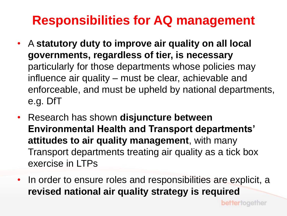### **Responsibilities for AQ management**

- A **statutory duty to improve air quality on all local governments, regardless of tier, is necessary** particularly for those departments whose policies may influence air quality – must be clear, achievable and enforceable, and must be upheld by national departments, e.g. DfT
- Research has shown **disjuncture between Environmental Health and Transport departments' attitudes to air quality management**, with many Transport departments treating air quality as a tick box exercise in LTPs
- In order to ensure roles and responsibilities are explicit, a **revised national air quality strategy is required**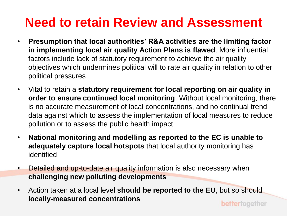### **Need to retain Review and Assessment**

- **Presumption that local authorities' R&A activities are the limiting factor in implementing local air quality Action Plans is flawed**. More influential factors include lack of statutory requirement to achieve the air quality objectives which undermines political will to rate air quality in relation to other political pressures
- Vital to retain a **statutory requirement for local reporting on air quality in order to ensure continued local monitoring**. Without local monitoring, there is no accurate measurement of local concentrations, and no continual trend data against which to assess the implementation of local measures to reduce pollution or to assess the public health impact
- **National monitoring and modelling as reported to the EC is unable to adequately capture local hotspots** that local authority monitoring has identified
- Detailed and up-to-date air quality information is also necessary when **challenging new polluting developments**
- Action taken at a local level **should be reported to the EU**, but so should **locally-measured concentrations**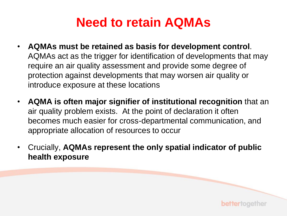### **Need to retain AQMAs**

- **AQMAs must be retained as basis for development control**. AQMAs act as the trigger for identification of developments that may require an air quality assessment and provide some degree of protection against developments that may worsen air quality or introduce exposure at these locations
- **AQMA is often major signifier of institutional recognition** that an air quality problem exists. At the point of declaration it often becomes much easier for cross-departmental communication, and appropriate allocation of resources to occur
- Crucially, **AQMAs represent the only spatial indicator of public health exposure**

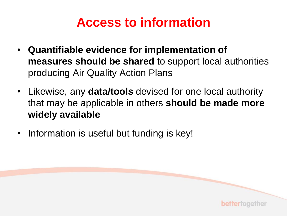### **Access to information**

- **Quantifiable evidence for implementation of measures should be shared** to support local authorities producing Air Quality Action Plans
- Likewise, any **data/tools** devised for one local authority that may be applicable in others **should be made more widely available**

bettertogether

• Information is useful but funding is key!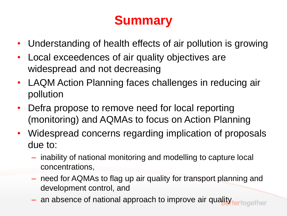### **Summary**

- Understanding of health effects of air pollution is growing
- Local exceedences of air quality objectives are widespread and not decreasing
- LAQM Action Planning faces challenges in reducing air pollution
- Defra propose to remove need for local reporting (monitoring) and AQMAs to focus on Action Planning
- Widespread concerns regarding implication of proposals due to:
	- inability of national monitoring and modelling to capture local concentrations,
	- need for AQMAs to flag up air quality for transport planning and development control, and
	- an absence of national approach to improve air quality rection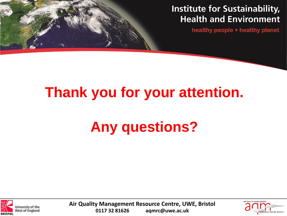#### **Institute for Sustainability, Health and Environment**

healthy people + healthy planet

### **Thank you for your attention.**

## **Any questions?**



**Air Quality Management Resource Centre, UWE, Bristol 0117 32 81626 aqmrc@uwe.ac.uk**